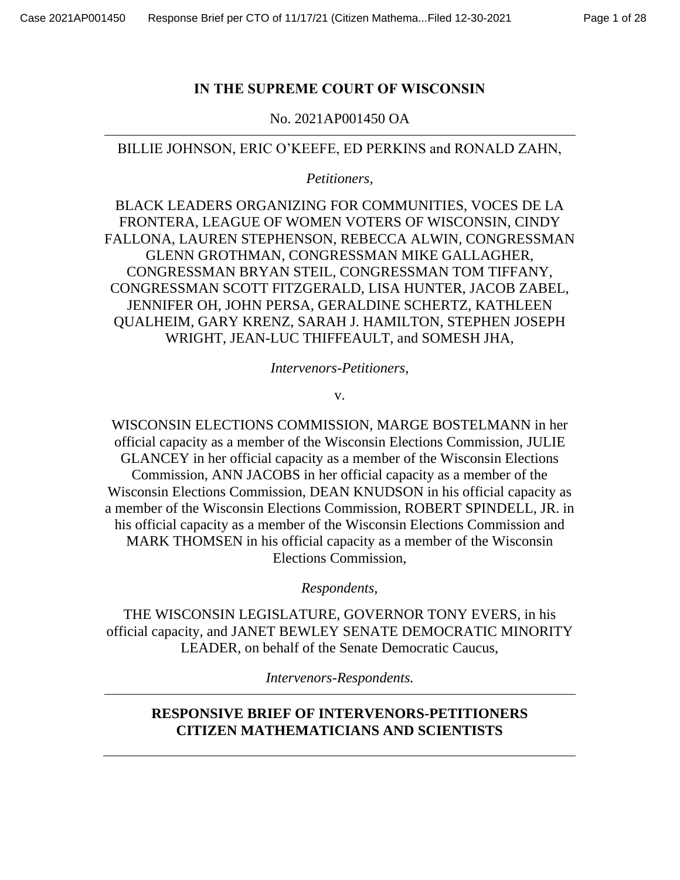# **IN THE SUPREME COURT OF WISCONSIN**

No. 2021AP001450 OA

# BILLIE JOHNSON, ERIC O'KEEFE, ED PERKINS and RONALD ZAHN,

*Petitioners,* 

BLACK LEADERS ORGANIZING FOR COMMUNITIES, VOCES DE LA FRONTERA, LEAGUE OF WOMEN VOTERS OF WISCONSIN, CINDY FALLONA, LAUREN STEPHENSON, REBECCA ALWIN, CONGRESSMAN GLENN GROTHMAN, CONGRESSMAN MIKE GALLAGHER, CONGRESSMAN BRYAN STEIL, CONGRESSMAN TOM TIFFANY, CONGRESSMAN SCOTT FITZGERALD, LISA HUNTER, JACOB ZABEL, JENNIFER OH, JOHN PERSA, GERALDINE SCHERTZ, KATHLEEN QUALHEIM, GARY KRENZ, SARAH J. HAMILTON, STEPHEN JOSEPH WRIGHT, JEAN-LUC THIFFEAULT, and SOMESH JHA,

*Intervenors-Petitioners,*

v.

WISCONSIN ELECTIONS COMMISSION, MARGE BOSTELMANN in her official capacity as a member of the Wisconsin Elections Commission, JULIE GLANCEY in her official capacity as a member of the Wisconsin Elections Commission, ANN JACOBS in her official capacity as a member of the Wisconsin Elections Commission, DEAN KNUDSON in his official capacity as a member of the Wisconsin Elections Commission, ROBERT SPINDELL, JR. in his official capacity as a member of the Wisconsin Elections Commission and MARK THOMSEN in his official capacity as a member of the Wisconsin Elections Commission,

*Respondents,*

THE WISCONSIN LEGISLATURE, GOVERNOR TONY EVERS, in his official capacity, and JANET BEWLEY SENATE DEMOCRATIC MINORITY LEADER, on behalf of the Senate Democratic Caucus,

*Intervenors-Respondents.*

# **RESPONSIVE BRIEF OF INTERVENORS-PETITIONERS CITIZEN MATHEMATICIANS AND SCIENTISTS**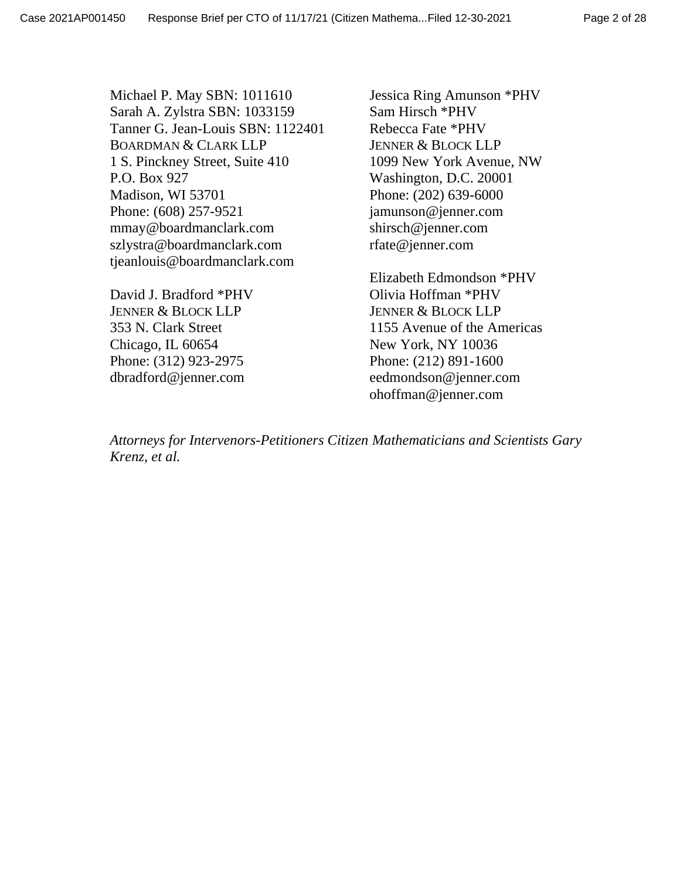Michael P. May SBN: 1011610 Sarah A. Zylstra SBN: 1033159 Tanner G. Jean-Louis SBN: 1122401 BOARDMAN & CLARK LLP 1 S. Pinckney Street, Suite 410 P.O. Box 927 Madison, WI 53701 Phone: (608) 257-9521 mmay@boardmanclark.com szlystra@boardmanclark.com tjeanlouis@boardmanclark.com

David J. Bradford \*PHV JENNER & BLOCK LLP 353 N. Clark Street Chicago, IL 60654 Phone: (312) 923-2975 dbradford@jenner.com

Jessica Ring Amunson \*PHV Sam Hirsch \*PHV Rebecca Fate \*PHV JENNER & BLOCK LLP 1099 New York Avenue, NW Washington, D.C. 20001 Phone: (202) 639-6000 jamunson@jenner.com shirsch@jenner.com rfate@jenner.com

Elizabeth Edmondson \*PHV Olivia Hoffman \*PHV JENNER & BLOCK LLP 1155 Avenue of the Americas New York, NY 10036 Phone: (212) 891-1600 eedmondson@jenner.com ohoffman@jenner.com

*Attorneys for Intervenors-Petitioners Citizen Mathematicians and Scientists Gary Krenz, et al.*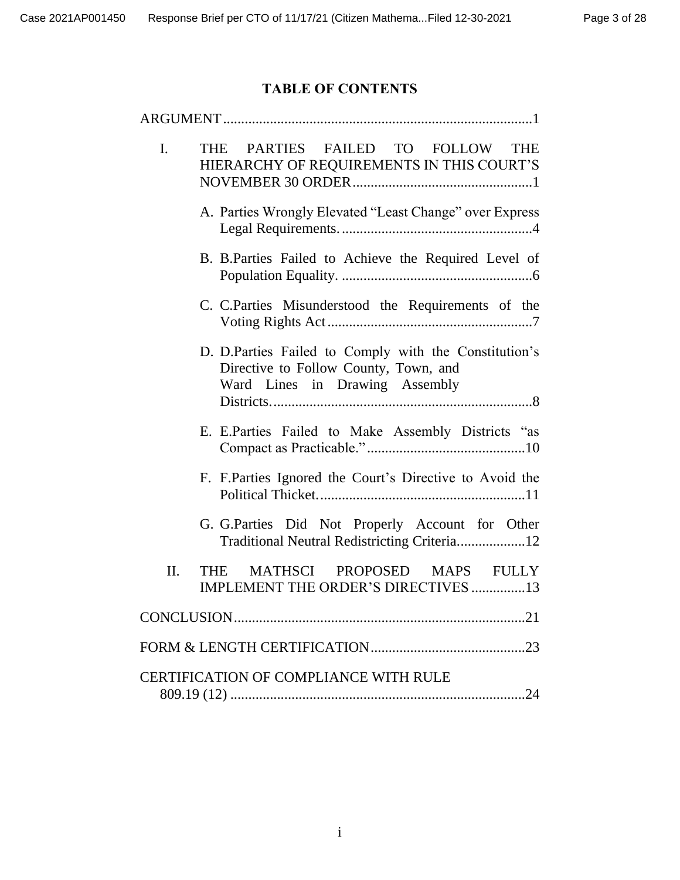# **TABLE OF CONTENTS**

| $\mathbf{I}$ .                        | PARTIES FAILED TO FOLLOW THE<br><b>THE</b><br>HIERARCHY OF REQUIREMENTS IN THIS COURT'S                                          |  |  |  |  |  |  |  |  |  |
|---------------------------------------|----------------------------------------------------------------------------------------------------------------------------------|--|--|--|--|--|--|--|--|--|
|                                       | A. Parties Wrongly Elevated "Least Change" over Express                                                                          |  |  |  |  |  |  |  |  |  |
|                                       | B. B.Parties Failed to Achieve the Required Level of                                                                             |  |  |  |  |  |  |  |  |  |
|                                       | C. C. Parties Misunderstood the Requirements of the                                                                              |  |  |  |  |  |  |  |  |  |
|                                       | D. D.Parties Failed to Comply with the Constitution's<br>Directive to Follow County, Town, and<br>Ward Lines in Drawing Assembly |  |  |  |  |  |  |  |  |  |
|                                       | E. E.Parties Failed to Make Assembly Districts "as                                                                               |  |  |  |  |  |  |  |  |  |
|                                       | F. F. Parties Ignored the Court's Directive to Avoid the                                                                         |  |  |  |  |  |  |  |  |  |
|                                       | G. G.Parties Did Not Properly Account for Other<br>Traditional Neutral Redistricting Criteria12                                  |  |  |  |  |  |  |  |  |  |
| II.                                   | MATHSCI PROPOSED MAPS FULLY<br>THE.<br>IMPLEMENT THE ORDER'S DIRECTIVES 13                                                       |  |  |  |  |  |  |  |  |  |
|                                       |                                                                                                                                  |  |  |  |  |  |  |  |  |  |
|                                       |                                                                                                                                  |  |  |  |  |  |  |  |  |  |
| CERTIFICATION OF COMPLIANCE WITH RULE |                                                                                                                                  |  |  |  |  |  |  |  |  |  |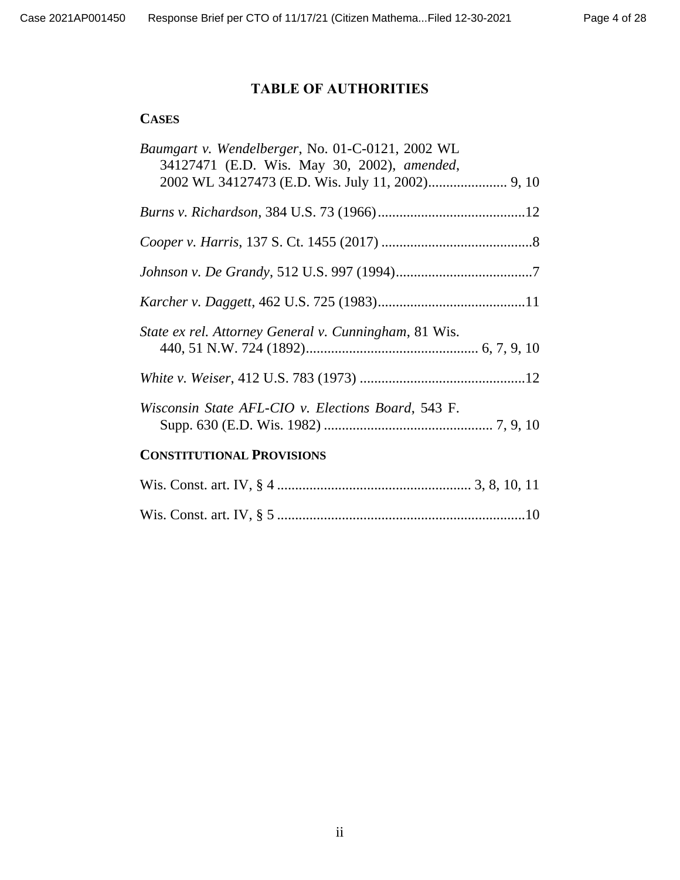# **TABLE OF AUTHORITIES**

### **CASES**

| Baumgart v. Wendelberger, No. 01-C-0121, 2002 WL<br>34127471 (E.D. Wis. May 30, 2002), amended, |  |
|-------------------------------------------------------------------------------------------------|--|
|                                                                                                 |  |
|                                                                                                 |  |
|                                                                                                 |  |
|                                                                                                 |  |
| State ex rel. Attorney General v. Cunningham, 81 Wis.                                           |  |
|                                                                                                 |  |
| Wisconsin State AFL-CIO v. Elections Board, 543 F.                                              |  |
| <b>CONSTITUTIONAL PROVISIONS</b>                                                                |  |
|                                                                                                 |  |
|                                                                                                 |  |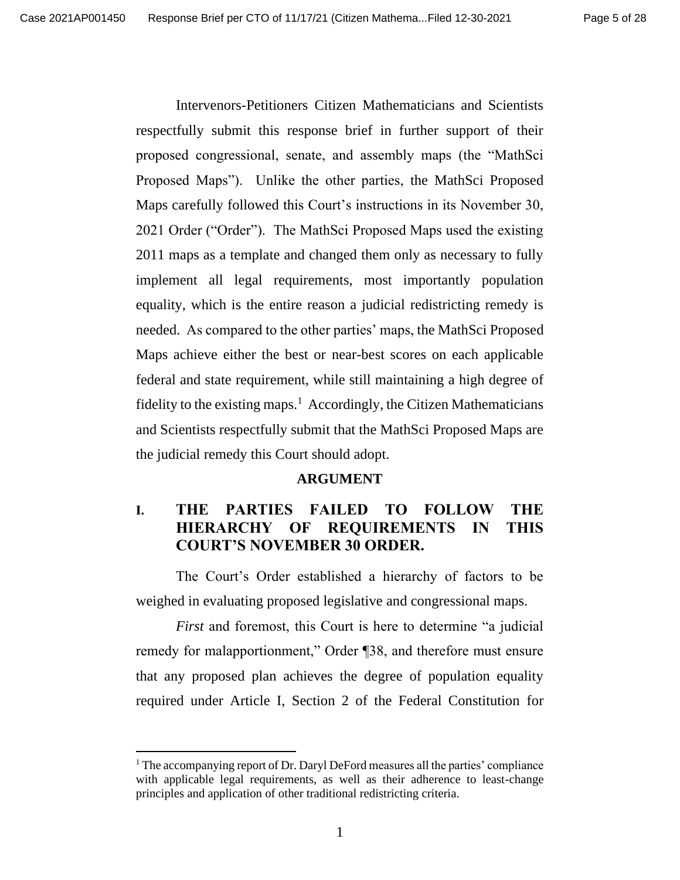Intervenors-Petitioners Citizen Mathematicians and Scientists respectfully submit this response brief in further support of their proposed congressional, senate, and assembly maps (the "MathSci Proposed Maps"). Unlike the other parties, the MathSci Proposed Maps carefully followed this Court's instructions in its November 30, 2021 Order ("Order"). The MathSci Proposed Maps used the existing 2011 maps as a template and changed them only as necessary to fully implement all legal requirements, most importantly population equality, which is the entire reason a judicial redistricting remedy is needed. As compared to the other parties' maps, the MathSci Proposed Maps achieve either the best or near-best scores on each applicable federal and state requirement, while still maintaining a high degree of fidelity to the existing maps.<sup>1</sup> Accordingly, the Citizen Mathematicians and Scientists respectfully submit that the MathSci Proposed Maps are the judicial remedy this Court should adopt.

#### **ARGUMENT**

## **I. THE PARTIES FAILED TO FOLLOW THE HIERARCHY OF REQUIREMENTS IN THIS COURT'S NOVEMBER 30 ORDER.**

The Court's Order established a hierarchy of factors to be weighed in evaluating proposed legislative and congressional maps.

*First* and foremost, this Court is here to determine "a judicial remedy for malapportionment," Order ¶38, and therefore must ensure that any proposed plan achieves the degree of population equality required under Article I, Section 2 of the Federal Constitution for

 $1$ <sup>1</sup> The accompanying report of Dr. Daryl DeFord measures all the parties' compliance with applicable legal requirements, as well as their adherence to least-change principles and application of other traditional redistricting criteria.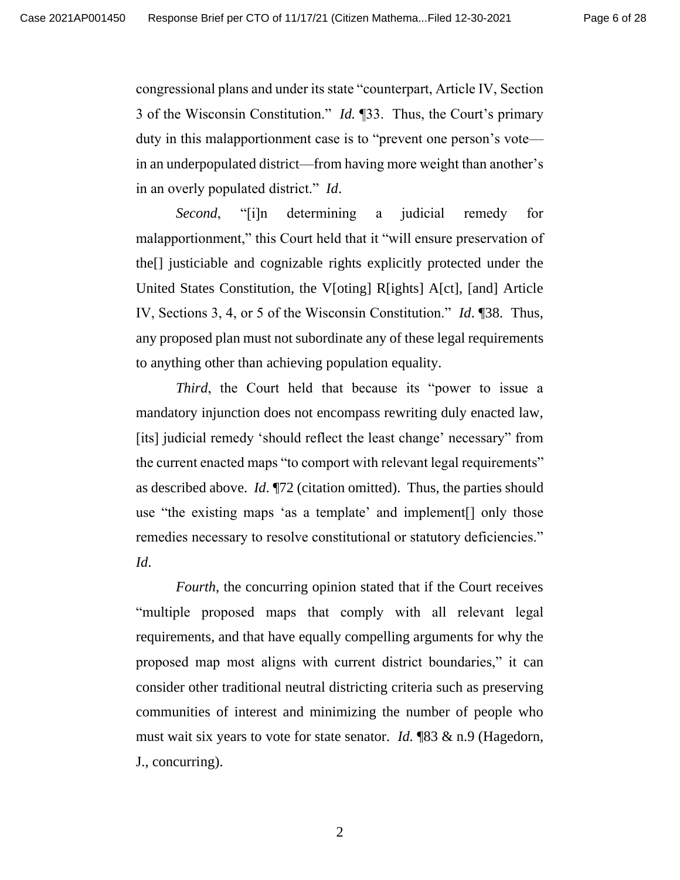congressional plans and under its state "counterpart, Article IV, Section 3 of the Wisconsin Constitution." *Id.* ¶33. Thus, the Court's primary duty in this malapportionment case is to "prevent one person's vote in an underpopulated district—from having more weight than another's in an overly populated district." *Id*.

*Second*, "[i]n determining a judicial remedy for malapportionment," this Court held that it "will ensure preservation of the[] justiciable and cognizable rights explicitly protected under the United States Constitution, the V[oting] R[ights] A[ct], [and] Article IV, Sections 3, 4, or 5 of the Wisconsin Constitution." *Id*. ¶38. Thus, any proposed plan must not subordinate any of these legal requirements to anything other than achieving population equality.

*Third*, the Court held that because its "power to issue a mandatory injunction does not encompass rewriting duly enacted law, [its] judicial remedy 'should reflect the least change' necessary" from the current enacted maps "to comport with relevant legal requirements" as described above. *Id*. ¶72 (citation omitted). Thus, the parties should use "the existing maps 'as a template' and implement[] only those remedies necessary to resolve constitutional or statutory deficiencies." *Id*.

*Fourth*, the concurring opinion stated that if the Court receives "multiple proposed maps that comply with all relevant legal requirements, and that have equally compelling arguments for why the proposed map most aligns with current district boundaries," it can consider other traditional neutral districting criteria such as preserving communities of interest and minimizing the number of people who must wait six years to vote for state senator. *Id.* ¶83 & n.9 (Hagedorn, J., concurring).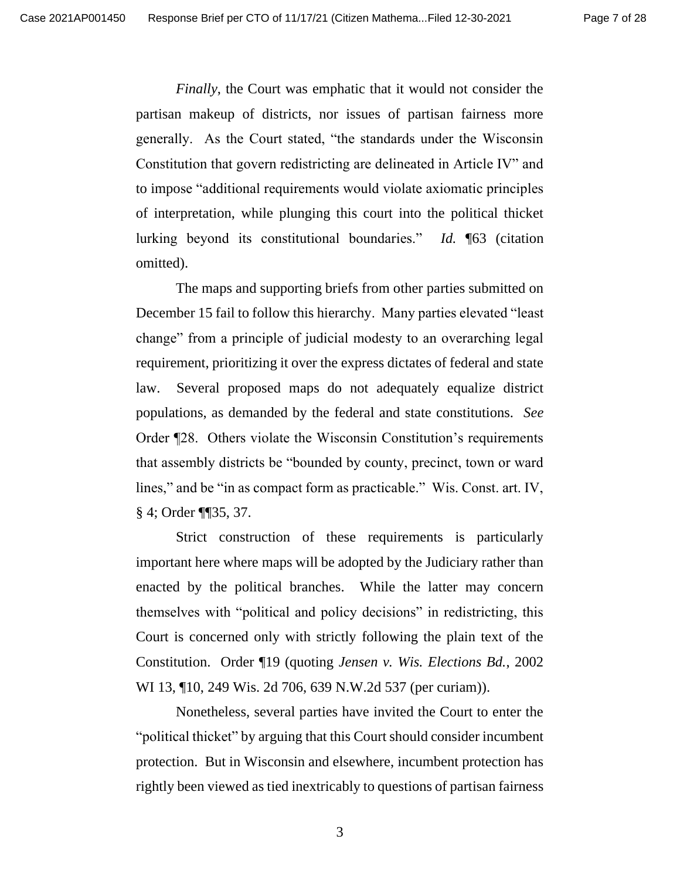*Finally*, the Court was emphatic that it would not consider the partisan makeup of districts, nor issues of partisan fairness more generally. As the Court stated, "the standards under the Wisconsin Constitution that govern redistricting are delineated in Article IV" and to impose "additional requirements would violate axiomatic principles of interpretation, while plunging this court into the political thicket lurking beyond its constitutional boundaries." *Id.* ¶63 (citation omitted).

The maps and supporting briefs from other parties submitted on December 15 fail to follow this hierarchy. Many parties elevated "least change" from a principle of judicial modesty to an overarching legal requirement, prioritizing it over the express dictates of federal and state law. Several proposed maps do not adequately equalize district populations, as demanded by the federal and state constitutions. *See*  Order ¶28. Others violate the Wisconsin Constitution's requirements that assembly districts be "bounded by county, precinct, town or ward lines," and be "in as compact form as practicable." Wis. Const. art. IV, § 4; Order ¶¶35, 37.

Strict construction of these requirements is particularly important here where maps will be adopted by the Judiciary rather than enacted by the political branches. While the latter may concern themselves with "political and policy decisions" in redistricting, this Court is concerned only with strictly following the plain text of the Constitution. Order ¶19 (quoting *Jensen v. Wis. Elections Bd.*, 2002 WI 13, ¶10, 249 Wis. 2d 706, 639 N.W.2d 537 (per curiam)).

Nonetheless, several parties have invited the Court to enter the "political thicket" by arguing that this Court should consider incumbent protection. But in Wisconsin and elsewhere, incumbent protection has rightly been viewed as tied inextricably to questions of partisan fairness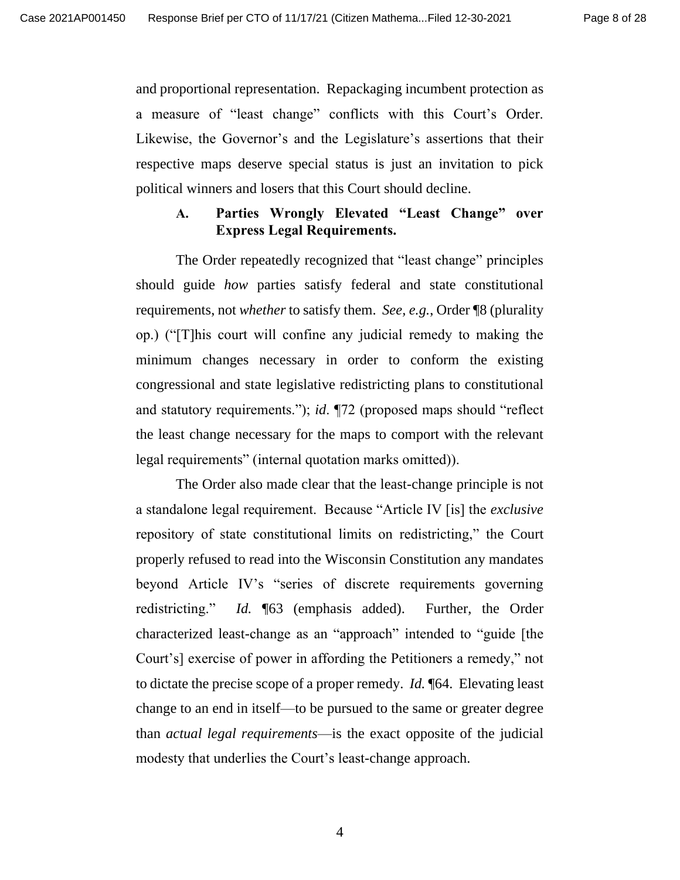and proportional representation. Repackaging incumbent protection as a measure of "least change" conflicts with this Court's Order. Likewise, the Governor's and the Legislature's assertions that their respective maps deserve special status is just an invitation to pick political winners and losers that this Court should decline.

#### **A. Parties Wrongly Elevated "Least Change" over Express Legal Requirements.**

The Order repeatedly recognized that "least change" principles should guide *how* parties satisfy federal and state constitutional requirements, not *whether* to satisfy them. *See, e.g.*, Order ¶8 (plurality op.) ("[T]his court will confine any judicial remedy to making the minimum changes necessary in order to conform the existing congressional and state legislative redistricting plans to constitutional and statutory requirements."); *id*. ¶72 (proposed maps should "reflect the least change necessary for the maps to comport with the relevant legal requirements" (internal quotation marks omitted)).

The Order also made clear that the least-change principle is not a standalone legal requirement. Because "Article IV [is] the *exclusive*  repository of state constitutional limits on redistricting," the Court properly refused to read into the Wisconsin Constitution any mandates beyond Article IV's "series of discrete requirements governing redistricting." *Id.* ¶63 (emphasis added). Further, the Order characterized least-change as an "approach" intended to "guide [the Court's] exercise of power in affording the Petitioners a remedy," not to dictate the precise scope of a proper remedy. *Id.* ¶64. Elevating least change to an end in itself—to be pursued to the same or greater degree than *actual legal requirements*—is the exact opposite of the judicial modesty that underlies the Court's least-change approach.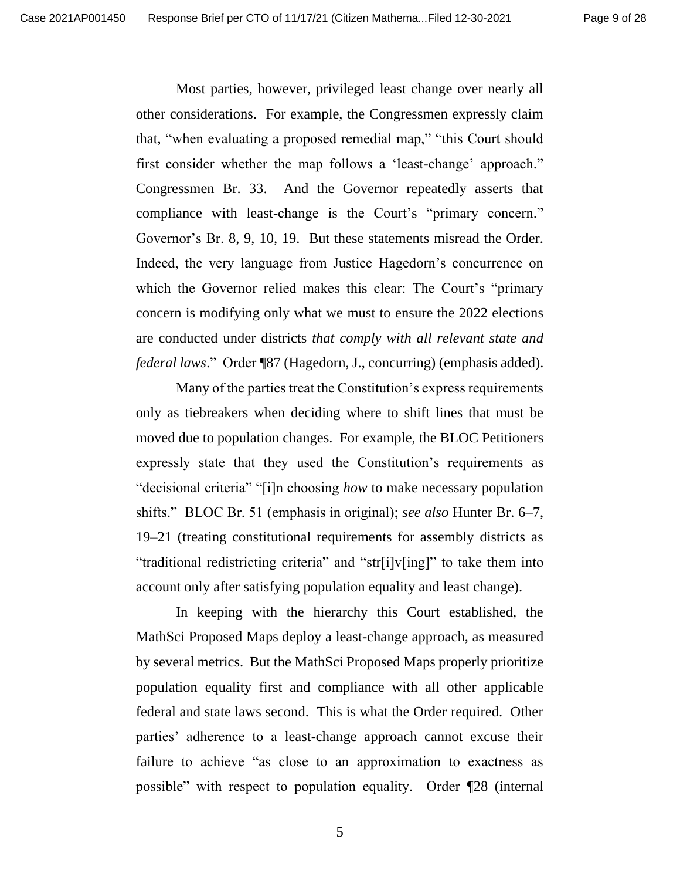Most parties, however, privileged least change over nearly all other considerations. For example, the Congressmen expressly claim that, "when evaluating a proposed remedial map," "this Court should first consider whether the map follows a 'least-change' approach." Congressmen Br. 33. And the Governor repeatedly asserts that compliance with least-change is the Court's "primary concern." Governor's Br. 8, 9, 10, 19. But these statements misread the Order. Indeed, the very language from Justice Hagedorn's concurrence on which the Governor relied makes this clear: The Court's "primary concern is modifying only what we must to ensure the 2022 elections are conducted under districts *that comply with all relevant state and federal laws*." Order ¶87 (Hagedorn, J., concurring) (emphasis added).

Many of the parties treat the Constitution's express requirements only as tiebreakers when deciding where to shift lines that must be moved due to population changes. For example, the BLOC Petitioners expressly state that they used the Constitution's requirements as "decisional criteria" "[i]n choosing *how* to make necessary population shifts." BLOC Br. 51 (emphasis in original); *see also* Hunter Br. 6–7, 19–21 (treating constitutional requirements for assembly districts as "traditional redistricting criteria" and "str[i]v[ing]" to take them into account only after satisfying population equality and least change).

In keeping with the hierarchy this Court established, the MathSci Proposed Maps deploy a least-change approach, as measured by several metrics. But the MathSci Proposed Maps properly prioritize population equality first and compliance with all other applicable federal and state laws second. This is what the Order required. Other parties' adherence to a least-change approach cannot excuse their failure to achieve "as close to an approximation to exactness as possible" with respect to population equality. Order ¶28 (internal

5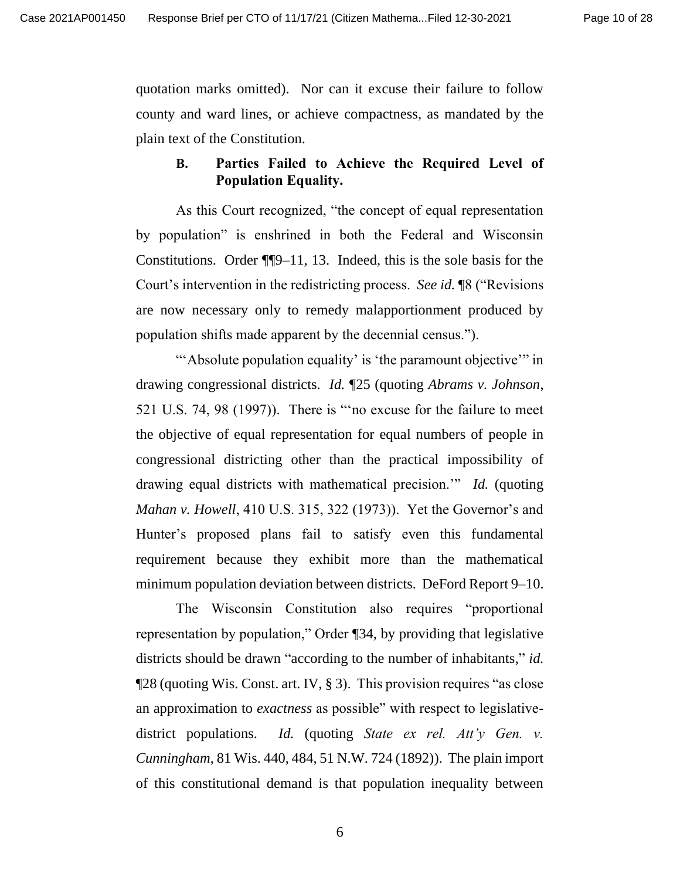quotation marks omitted). Nor can it excuse their failure to follow county and ward lines, or achieve compactness, as mandated by the plain text of the Constitution.

### **B. Parties Failed to Achieve the Required Level of Population Equality.**

As this Court recognized, "the concept of equal representation by population" is enshrined in both the Federal and Wisconsin Constitutions. Order ¶¶9–11, 13. Indeed, this is the sole basis for the Court's intervention in the redistricting process. *See id.* ¶8 ("Revisions are now necessary only to remedy malapportionment produced by population shifts made apparent by the decennial census.").

"'Absolute population equality' is 'the paramount objective'" in drawing congressional districts. *Id.* ¶25 (quoting *Abrams v. Johnson*, 521 U.S. 74, 98 (1997)). There is "'no excuse for the failure to meet the objective of equal representation for equal numbers of people in congressional districting other than the practical impossibility of drawing equal districts with mathematical precision.'" *Id.* (quoting *Mahan v. Howell*, 410 U.S. 315, 322 (1973)). Yet the Governor's and Hunter's proposed plans fail to satisfy even this fundamental requirement because they exhibit more than the mathematical minimum population deviation between districts. DeFord Report 9–10.

The Wisconsin Constitution also requires "proportional representation by population," Order ¶34, by providing that legislative districts should be drawn "according to the number of inhabitants," *id.*   $\P$ 28 (quoting Wis. Const. art. IV, § 3). This provision requires "as close an approximation to *exactness* as possible" with respect to legislativedistrict populations. *Id.* (quoting *State ex rel. Att'y Gen. v. Cunningham*, 81 Wis. 440, 484, 51 N.W. 724 (1892)). The plain import of this constitutional demand is that population inequality between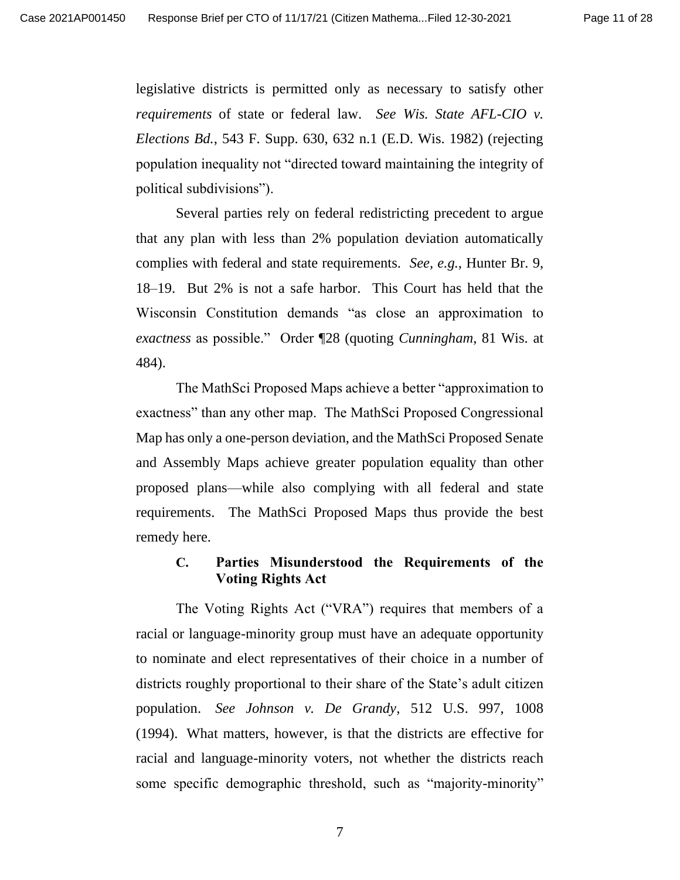legislative districts is permitted only as necessary to satisfy other *requirements* of state or federal law. *See Wis. State AFL-CIO v. Elections Bd.*, 543 F. Supp. 630, 632 n.1 (E.D. Wis. 1982) (rejecting population inequality not "directed toward maintaining the integrity of political subdivisions").

Several parties rely on federal redistricting precedent to argue that any plan with less than 2% population deviation automatically complies with federal and state requirements. *See, e.g.*, Hunter Br. 9, 18–19. But 2% is not a safe harbor. This Court has held that the Wisconsin Constitution demands "as close an approximation to *exactness* as possible." Order ¶28 (quoting *Cunningham*, 81 Wis. at 484).

The MathSci Proposed Maps achieve a better "approximation to exactness" than any other map. The MathSci Proposed Congressional Map has only a one-person deviation, and the MathSci Proposed Senate and Assembly Maps achieve greater population equality than other proposed plans—while also complying with all federal and state requirements. The MathSci Proposed Maps thus provide the best remedy here.

#### **C. Parties Misunderstood the Requirements of the Voting Rights Act**

The Voting Rights Act ("VRA") requires that members of a racial or language-minority group must have an adequate opportunity to nominate and elect representatives of their choice in a number of districts roughly proportional to their share of the State's adult citizen population. *See Johnson v. De Grandy*, 512 U.S. 997, 1008 (1994). What matters, however, is that the districts are effective for racial and language-minority voters, not whether the districts reach some specific demographic threshold, such as "majority-minority"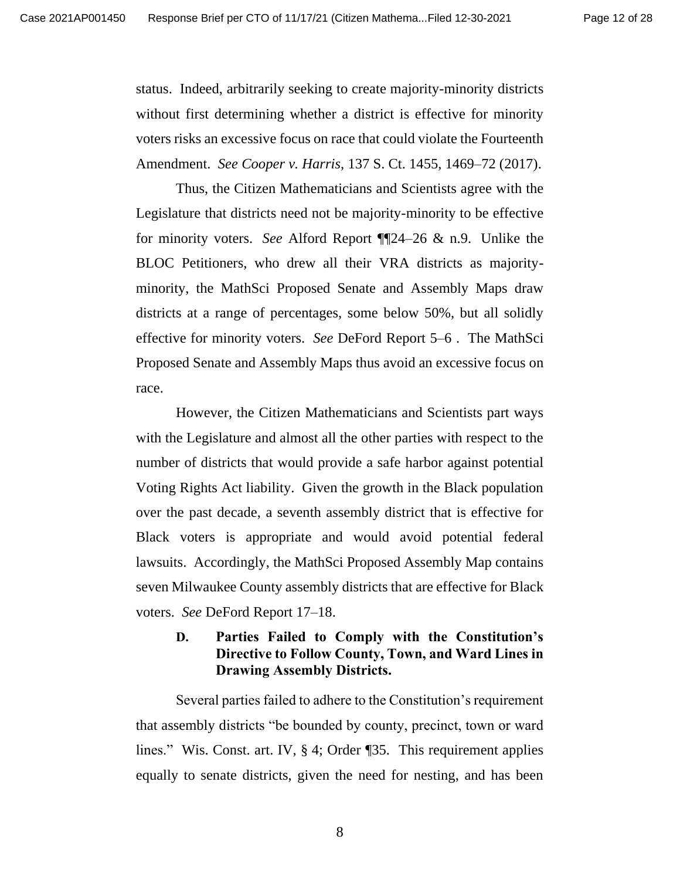status. Indeed, arbitrarily seeking to create majority-minority districts without first determining whether a district is effective for minority voters risks an excessive focus on race that could violate the Fourteenth Amendment. *See Cooper v. Harris*, 137 S. Ct. 1455, 1469–72 (2017).

Thus, the Citizen Mathematicians and Scientists agree with the Legislature that districts need not be majority-minority to be effective for minority voters. *See* Alford Report ¶¶24–26 & n.9. Unlike the BLOC Petitioners, who drew all their VRA districts as majorityminority, the MathSci Proposed Senate and Assembly Maps draw districts at a range of percentages, some below 50%, but all solidly effective for minority voters. *See* DeFord Report 5–6 . The MathSci Proposed Senate and Assembly Maps thus avoid an excessive focus on race.

However, the Citizen Mathematicians and Scientists part ways with the Legislature and almost all the other parties with respect to the number of districts that would provide a safe harbor against potential Voting Rights Act liability. Given the growth in the Black population over the past decade, a seventh assembly district that is effective for Black voters is appropriate and would avoid potential federal lawsuits. Accordingly, the MathSci Proposed Assembly Map contains seven Milwaukee County assembly districts that are effective for Black voters. *See* DeFord Report 17–18.

### **D. Parties Failed to Comply with the Constitution's Directive to Follow County, Town, and Ward Lines in Drawing Assembly Districts.**

Several parties failed to adhere to the Constitution's requirement that assembly districts "be bounded by county, precinct, town or ward lines." Wis. Const. art. IV, § 4; Order ¶35. This requirement applies equally to senate districts, given the need for nesting, and has been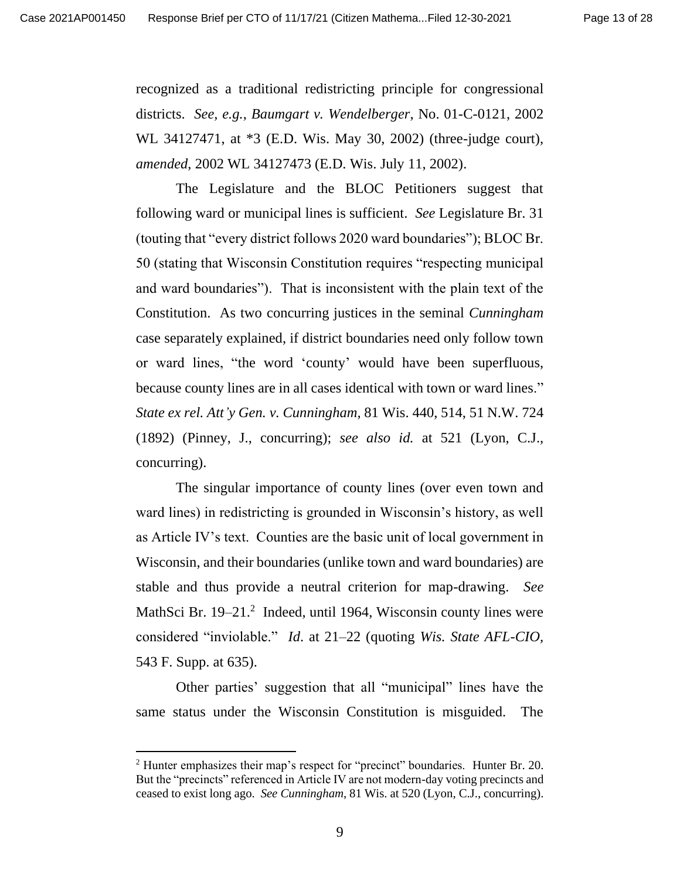recognized as a traditional redistricting principle for congressional districts. *See, e.g.*, *Baumgart v. Wendelberger*, No. 01-C-0121, 2002 WL 34127471, at \*3 (E.D. Wis. May 30, 2002) (three-judge court), *amended*, 2002 WL 34127473 (E.D. Wis. July 11, 2002).

The Legislature and the BLOC Petitioners suggest that following ward or municipal lines is sufficient. *See* Legislature Br. 31 (touting that "every district follows 2020 ward boundaries"); BLOC Br. 50 (stating that Wisconsin Constitution requires "respecting municipal and ward boundaries"). That is inconsistent with the plain text of the Constitution. As two concurring justices in the seminal *Cunningham* case separately explained, if district boundaries need only follow town or ward lines, "the word 'county' would have been superfluous, because county lines are in all cases identical with town or ward lines." *State ex rel. Att'y Gen. v. Cunningham,* 81 Wis. 440, 514, 51 N.W. 724 (1892) (Pinney, J., concurring); *see also id.* at 521 (Lyon, C.J., concurring).

The singular importance of county lines (over even town and ward lines) in redistricting is grounded in Wisconsin's history, as well as Article IV's text. Counties are the basic unit of local government in Wisconsin, and their boundaries (unlike town and ward boundaries) are stable and thus provide a neutral criterion for map-drawing. *See*  MathSci Br.  $19-21$ <sup>2</sup> Indeed, until 1964, Wisconsin county lines were considered "inviolable." *Id*. at 21–22 (quoting *Wis. State AFL-CIO,*  543 F. Supp. at 635).

Other parties' suggestion that all "municipal" lines have the same status under the Wisconsin Constitution is misguided. The

<sup>&</sup>lt;sup>2</sup> Hunter emphasizes their map's respect for "precinct" boundaries. Hunter Br. 20. But the "precincts" referenced in Article IV are not modern-day voting precincts and ceased to exist long ago. *See Cunningham*, 81 Wis. at 520 (Lyon, C.J., concurring).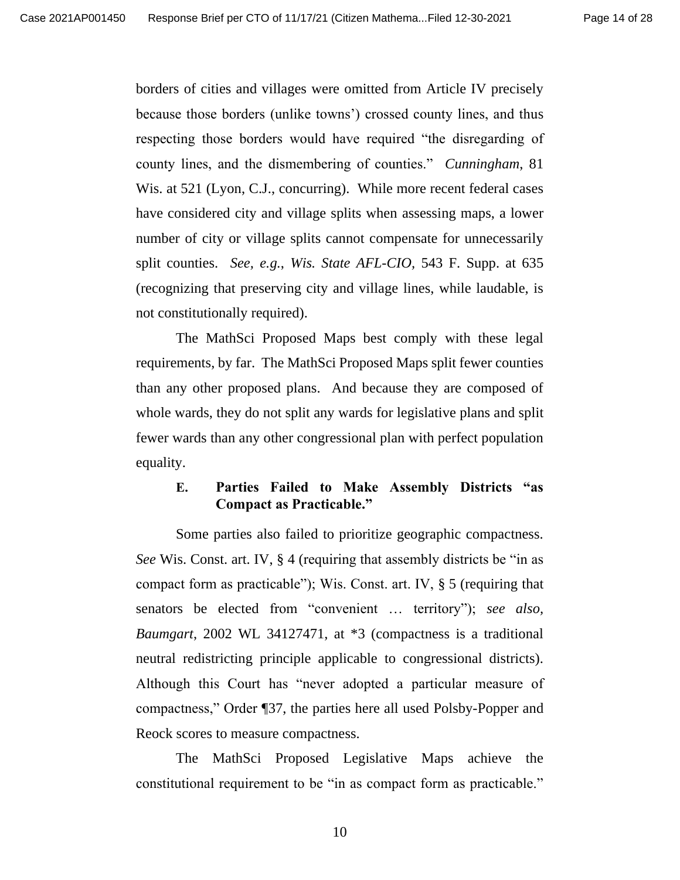borders of cities and villages were omitted from Article IV precisely because those borders (unlike towns') crossed county lines, and thus respecting those borders would have required "the disregarding of county lines, and the dismembering of counties." *Cunningham*, 81 Wis. at 521 (Lyon, C.J., concurring).While more recent federal cases have considered city and village splits when assessing maps, a lower number of city or village splits cannot compensate for unnecessarily split counties. *See, e.g.*, *Wis. State AFL-CIO,* 543 F. Supp. at 635 (recognizing that preserving city and village lines, while laudable, is not constitutionally required).

The MathSci Proposed Maps best comply with these legal requirements, by far. The MathSci Proposed Maps split fewer counties than any other proposed plans. And because they are composed of whole wards, they do not split any wards for legislative plans and split fewer wards than any other congressional plan with perfect population equality.

#### **E. Parties Failed to Make Assembly Districts "as Compact as Practicable."**

Some parties also failed to prioritize geographic compactness. *See* Wis. Const. art. IV, § 4 (requiring that assembly districts be "in as compact form as practicable"); Wis. Const. art. IV, § 5 (requiring that senators be elected from "convenient … territory"); *see also, Baumgart*, 2002 WL 34127471, at \*3 (compactness is a traditional neutral redistricting principle applicable to congressional districts). Although this Court has "never adopted a particular measure of compactness," Order ¶37, the parties here all used Polsby-Popper and Reock scores to measure compactness.

The MathSci Proposed Legislative Maps achieve the constitutional requirement to be "in as compact form as practicable."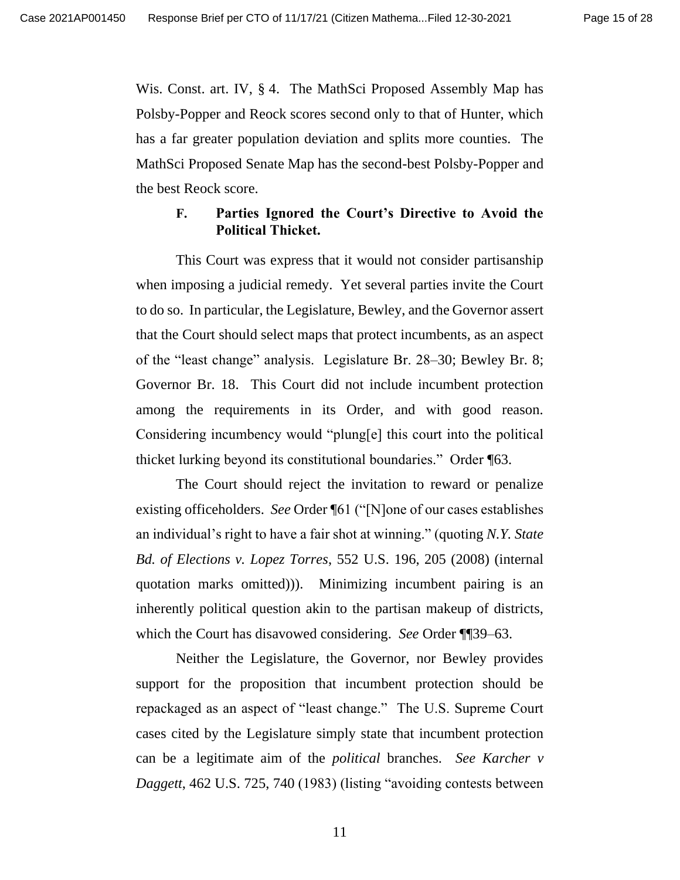Wis. Const. art. IV, § 4. The MathSci Proposed Assembly Map has Polsby-Popper and Reock scores second only to that of Hunter, which has a far greater population deviation and splits more counties. The MathSci Proposed Senate Map has the second-best Polsby-Popper and the best Reock score.

#### **F. Parties Ignored the Court's Directive to Avoid the Political Thicket.**

This Court was express that it would not consider partisanship when imposing a judicial remedy. Yet several parties invite the Court to do so. In particular, the Legislature, Bewley, and the Governor assert that the Court should select maps that protect incumbents, as an aspect of the "least change" analysis. Legislature Br. 28–30; Bewley Br. 8; Governor Br. 18. This Court did not include incumbent protection among the requirements in its Order, and with good reason. Considering incumbency would "plung[e] this court into the political thicket lurking beyond its constitutional boundaries." Order ¶63.

The Court should reject the invitation to reward or penalize existing officeholders. *See* Order ¶61 ("[N]one of our cases establishes an individual's right to have a fair shot at winning." (quoting *N.Y. State Bd. of Elections v. Lopez Torres*, 552 U.S. 196, 205 (2008) (internal quotation marks omitted))). Minimizing incumbent pairing is an inherently political question akin to the partisan makeup of districts, which the Court has disavowed considering. *See* Order ¶¶39–63.

Neither the Legislature, the Governor, nor Bewley provides support for the proposition that incumbent protection should be repackaged as an aspect of "least change." The U.S. Supreme Court cases cited by the Legislature simply state that incumbent protection can be a legitimate aim of the *political* branches. *See Karcher v Daggett*, 462 U.S. 725, 740 (1983) (listing "avoiding contests between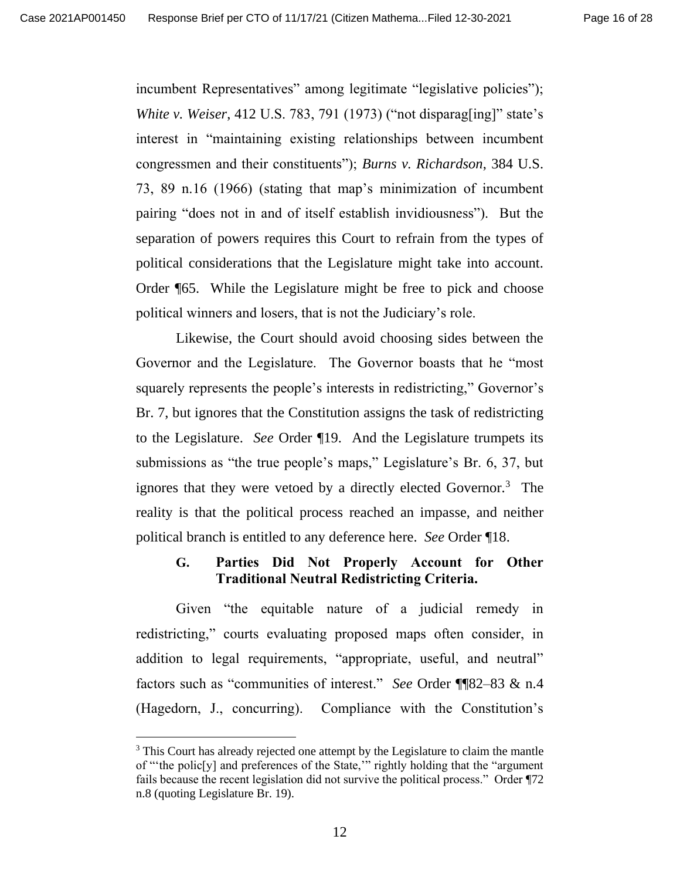incumbent Representatives" among legitimate "legislative policies"); *White v. Weiser*, 412 U.S. 783, 791 (1973) ("not disparag[ing]" state's interest in "maintaining existing relationships between incumbent congressmen and their constituents"); *Burns v. Richardson*, 384 U.S. 73, 89 n.16 (1966) (stating that map's minimization of incumbent pairing "does not in and of itself establish invidiousness"). But the separation of powers requires this Court to refrain from the types of political considerations that the Legislature might take into account. Order ¶65. While the Legislature might be free to pick and choose political winners and losers, that is not the Judiciary's role.

Likewise, the Court should avoid choosing sides between the Governor and the Legislature. The Governor boasts that he "most squarely represents the people's interests in redistricting," Governor's Br. 7, but ignores that the Constitution assigns the task of redistricting to the Legislature. *See* Order ¶19. And the Legislature trumpets its submissions as "the true people's maps," Legislature's Br. 6, 37, but ignores that they were vetoed by a directly elected Governor.<sup>3</sup> The reality is that the political process reached an impasse, and neither political branch is entitled to any deference here. *See* Order ¶18.

#### **G. Parties Did Not Properly Account for Other Traditional Neutral Redistricting Criteria.**

Given "the equitable nature of a judicial remedy in redistricting," courts evaluating proposed maps often consider, in addition to legal requirements, "appropriate, useful, and neutral" factors such as "communities of interest." *See* Order ¶¶82–83 & n.4 (Hagedorn, J., concurring). Compliance with the Constitution's

<sup>&</sup>lt;sup>3</sup> This Court has already rejected one attempt by the Legislature to claim the mantle of "'the polic[y] and preferences of the State,'" rightly holding that the "argument fails because the recent legislation did not survive the political process." Order ¶72 n.8 (quoting Legislature Br. 19).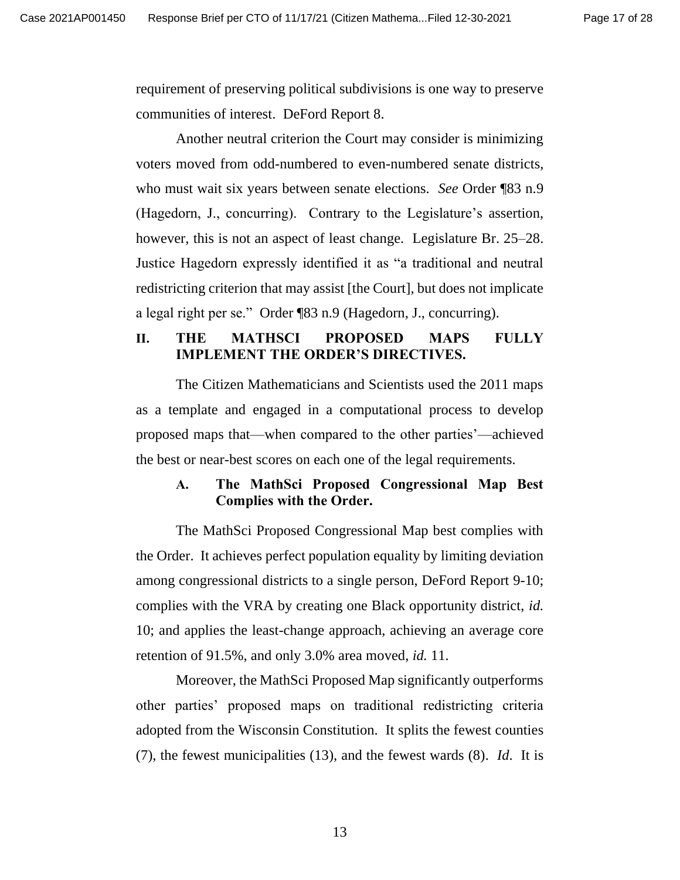requirement of preserving political subdivisions is one way to preserve communities of interest. DeFord Report 8.

Another neutral criterion the Court may consider is minimizing voters moved from odd-numbered to even-numbered senate districts, who must wait six years between senate elections. *See* Order ¶83 n.9 (Hagedorn, J., concurring). Contrary to the Legislature's assertion, however, this is not an aspect of least change. Legislature Br. 25–28. Justice Hagedorn expressly identified it as "a traditional and neutral redistricting criterion that may assist [the Court], but does not implicate a legal right per se." Order ¶83 n.9 (Hagedorn, J., concurring).

#### **II. THE MATHSCI PROPOSED MAPS FULLY IMPLEMENT THE ORDER'S DIRECTIVES.**

The Citizen Mathematicians and Scientists used the 2011 maps as a template and engaged in a computational process to develop proposed maps that—when compared to the other parties'—achieved the best or near-best scores on each one of the legal requirements.

#### **A. The MathSci Proposed Congressional Map Best Complies with the Order.**

The MathSci Proposed Congressional Map best complies with the Order. It achieves perfect population equality by limiting deviation among congressional districts to a single person, DeFord Report 9-10; complies with the VRA by creating one Black opportunity district, *id.* 10; and applies the least-change approach, achieving an average core retention of 91.5%, and only 3.0% area moved, *id.* 11.

Moreover, the MathSci Proposed Map significantly outperforms other parties' proposed maps on traditional redistricting criteria adopted from the Wisconsin Constitution. It splits the fewest counties (7), the fewest municipalities (13), and the fewest wards (8). *Id*. It is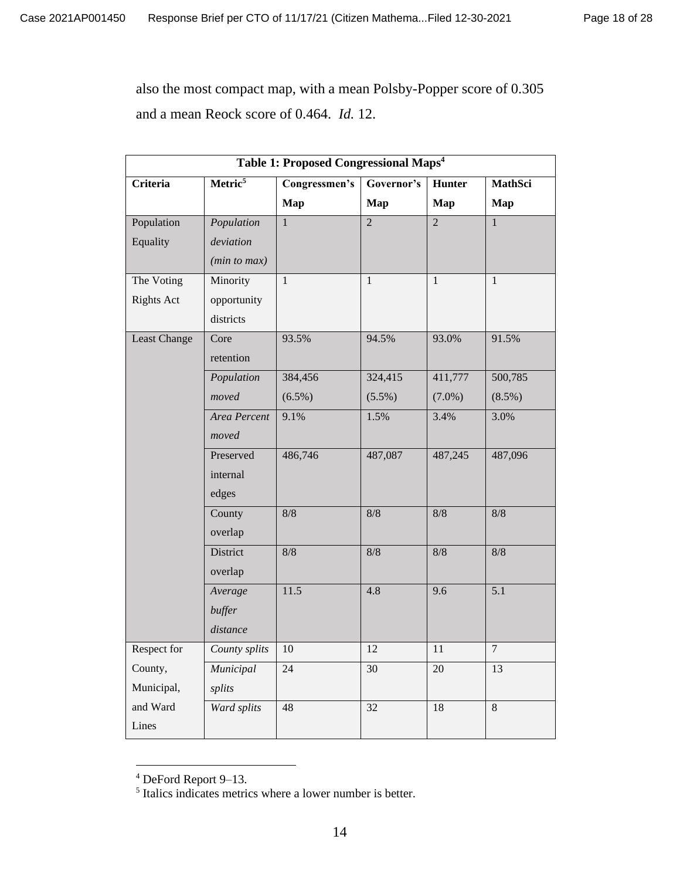also the most compact map, with a mean Polsby-Popper score of 0.305 and a mean Reock score of 0.464. *Id.* 12.

| Table 1: Proposed Congressional Maps <sup>4</sup> |                     |               |                |                |                |  |  |  |  |
|---------------------------------------------------|---------------------|---------------|----------------|----------------|----------------|--|--|--|--|
| <b>Criteria</b>                                   | Metric <sup>5</sup> | Congressmen's | Governor's     | Hunter         | MathSci        |  |  |  |  |
|                                                   |                     | Map           | Map            | Map            | Map            |  |  |  |  |
| Population                                        | Population          | $\mathbf{1}$  | $\overline{2}$ | $\overline{2}$ | $\mathbf{1}$   |  |  |  |  |
| Equality                                          | deviation           |               |                |                |                |  |  |  |  |
|                                                   | (min to max)        |               |                |                |                |  |  |  |  |
| The Voting                                        | Minority            | $\mathbf{1}$  | $\mathbf{1}$   | $\mathbf{1}$   | $\mathbf{1}$   |  |  |  |  |
| <b>Rights Act</b>                                 | opportunity         |               |                |                |                |  |  |  |  |
|                                                   | districts           |               |                |                |                |  |  |  |  |
| Least Change                                      | Core                | 93.5%         | 94.5%          | 93.0%          | 91.5%          |  |  |  |  |
|                                                   | retention           |               |                |                |                |  |  |  |  |
|                                                   | Population          | 384,456       | 324,415        | 411,777        | 500,785        |  |  |  |  |
|                                                   | moved               | $(6.5\%)$     | $(5.5\%)$      | $(7.0\%)$      | $(8.5\%)$      |  |  |  |  |
|                                                   | Area Percent        | 9.1%          | 1.5%           | 3.4%           | 3.0%           |  |  |  |  |
|                                                   | moved               |               |                |                |                |  |  |  |  |
|                                                   | Preserved           | 486,746       | 487,087        | 487,245        | 487,096        |  |  |  |  |
|                                                   | internal            |               |                |                |                |  |  |  |  |
|                                                   | edges               |               |                |                |                |  |  |  |  |
|                                                   | County              | 8/8           | 8/8            | $8/8$          | $8/8$          |  |  |  |  |
|                                                   | overlap             |               |                |                |                |  |  |  |  |
|                                                   | District            | 8/8           | 8/8            | $8/8$          | $8/8$          |  |  |  |  |
|                                                   | overlap             |               |                |                |                |  |  |  |  |
|                                                   | Average             | 11.5          | 4.8            | 9.6            | 5.1            |  |  |  |  |
|                                                   | buffer              |               |                |                |                |  |  |  |  |
|                                                   | distance            |               |                |                |                |  |  |  |  |
| Respect for                                       | County splits       | 10            | 12             | 11             | $\overline{7}$ |  |  |  |  |
| County,                                           | Municipal           | 24            | 30             | $20\,$         | 13             |  |  |  |  |
| Municipal,                                        | splits              |               |                |                |                |  |  |  |  |
| and Ward                                          | Ward splits         | 48            | 32             | $18\,$         | $8\,$          |  |  |  |  |
| Lines                                             |                     |               |                |                |                |  |  |  |  |

 $4$  DeFord Report 9–13.<br><sup>5</sup> Italics indicates metrics where a lower number is better.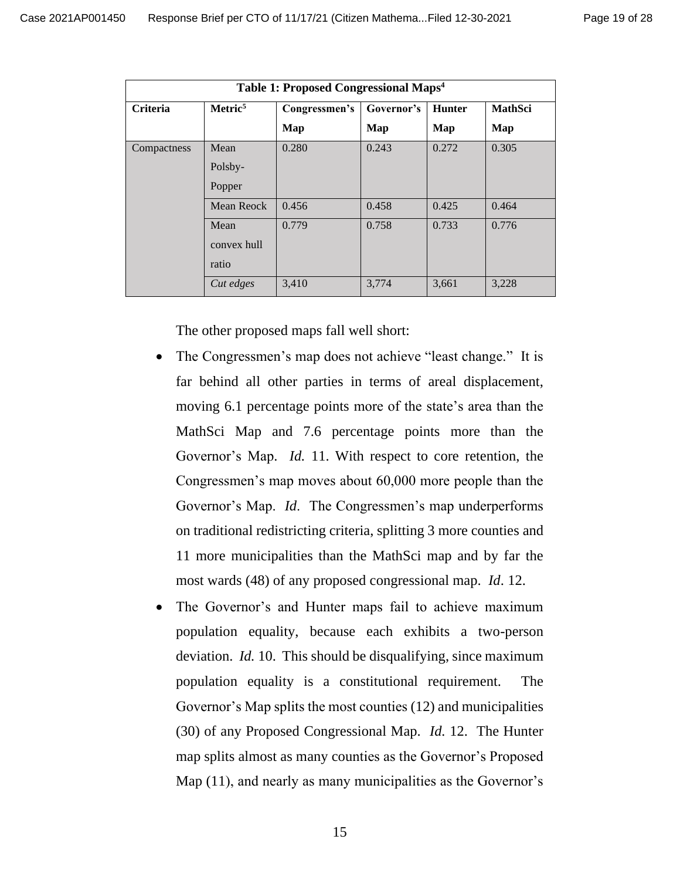| Table 1: Proposed Congressional Maps <sup>4</sup> |                     |               |            |               |         |  |  |  |  |
|---------------------------------------------------|---------------------|---------------|------------|---------------|---------|--|--|--|--|
| <b>Criteria</b>                                   | Metric <sup>5</sup> | Congressmen's | Governor's | <b>Hunter</b> | MathSci |  |  |  |  |
|                                                   |                     | Map           | Map        | Map           | Map     |  |  |  |  |
| Compactness                                       | Mean                | 0.280         | 0.243      | 0.272         | 0.305   |  |  |  |  |
|                                                   | Polsby-             |               |            |               |         |  |  |  |  |
|                                                   | Popper              |               |            |               |         |  |  |  |  |
|                                                   | Mean Reock          | 0.456         | 0.458      | 0.425         | 0.464   |  |  |  |  |
|                                                   | Mean                | 0.779         | 0.758      | 0.733         | 0.776   |  |  |  |  |
|                                                   | convex hull         |               |            |               |         |  |  |  |  |
|                                                   | ratio               |               |            |               |         |  |  |  |  |
|                                                   | Cut edges           | 3,410         | 3,774      | 3,661         | 3,228   |  |  |  |  |

The other proposed maps fall well short:

- The Congressmen's map does not achieve "least change." It is far behind all other parties in terms of areal displacement, moving 6.1 percentage points more of the state's area than the MathSci Map and 7.6 percentage points more than the Governor's Map. *Id.* 11. With respect to core retention, the Congressmen's map moves about 60,000 more people than the Governor's Map. *Id*. The Congressmen's map underperforms on traditional redistricting criteria, splitting 3 more counties and 11 more municipalities than the MathSci map and by far the most wards (48) of any proposed congressional map. *Id*. 12.
- The Governor's and Hunter maps fail to achieve maximum population equality, because each exhibits a two-person deviation. *Id.* 10. This should be disqualifying, since maximum population equality is a constitutional requirement. The Governor's Map splits the most counties (12) and municipalities (30) of any Proposed Congressional Map. *Id.* 12. The Hunter map splits almost as many counties as the Governor's Proposed Map (11), and nearly as many municipalities as the Governor's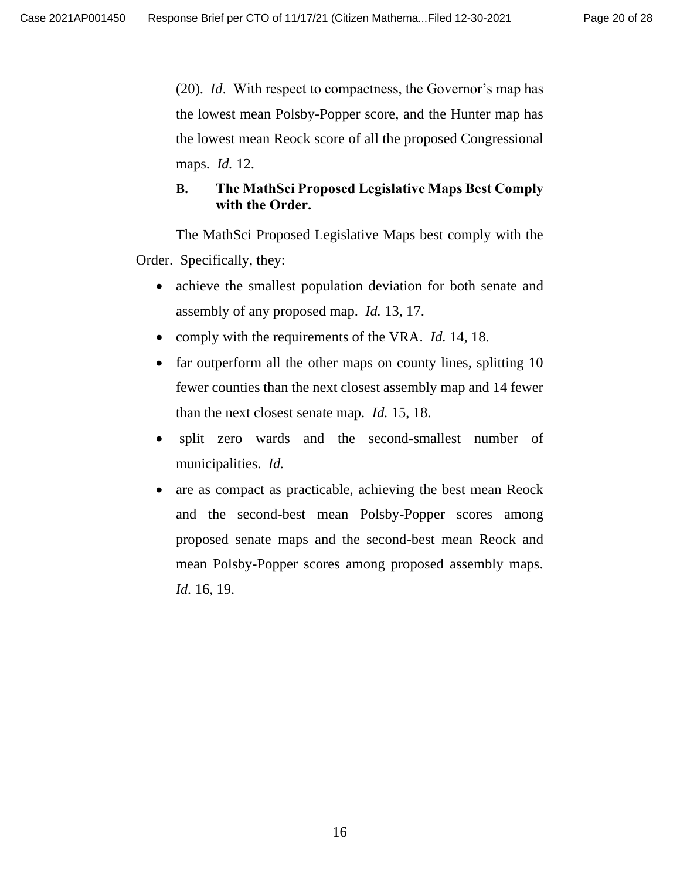(20). *Id*. With respect to compactness, the Governor's map has the lowest mean Polsby-Popper score, and the Hunter map has the lowest mean Reock score of all the proposed Congressional maps. *Id.* 12.

## **B. The MathSci Proposed Legislative Maps Best Comply with the Order.**

The MathSci Proposed Legislative Maps best comply with the Order. Specifically, they:

- achieve the smallest population deviation for both senate and assembly of any proposed map. *Id.* 13, 17.
- comply with the requirements of the VRA. *Id.* 14, 18.
- far outperform all the other maps on county lines, splitting 10 fewer counties than the next closest assembly map and 14 fewer than the next closest senate map. *Id.* 15, 18.
- split zero wards and the second-smallest number of municipalities. *Id.*
- are as compact as practicable, achieving the best mean Reock and the second-best mean Polsby-Popper scores among proposed senate maps and the second-best mean Reock and mean Polsby-Popper scores among proposed assembly maps. *Id.* 16, 19.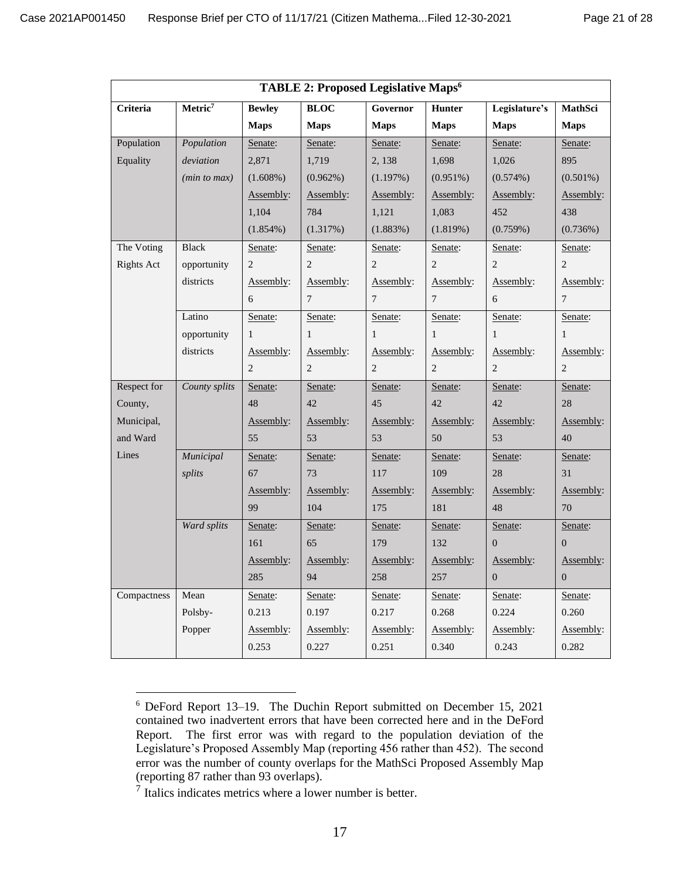| TABLE 2: Proposed Legislative Maps <sup>6</sup> |                                                                                                              |                |                |                |                |                |                |  |
|-------------------------------------------------|--------------------------------------------------------------------------------------------------------------|----------------|----------------|----------------|----------------|----------------|----------------|--|
| Criteria                                        | Governor<br>Legislature's<br>Metric <sup>7</sup><br><b>Bewley</b><br><b>BLOC</b><br><b>Hunter</b><br>MathSci |                |                |                |                |                |                |  |
|                                                 |                                                                                                              | <b>Maps</b>    | <b>Maps</b>    | <b>Maps</b>    | <b>Maps</b>    | <b>Maps</b>    | <b>Maps</b>    |  |
| Population                                      | Population                                                                                                   | Senate:        | Senate:        | Senate:        | Senate:        | Senate:        | Senate:        |  |
| Equality                                        | deviation                                                                                                    | 2,871          | 1,719          | 2,138          | 1,698          | 1,026          | 895            |  |
|                                                 | (min to max)                                                                                                 | $(1.608\%)$    | $(0.962\%)$    | (1.197%)       | $(0.951\%)$    | (0.574%)       | $(0.501\%)$    |  |
|                                                 |                                                                                                              | Assembly:      | Assembly:      | Assembly:      | Assembly:      | Assembly:      | Assembly:      |  |
|                                                 |                                                                                                              | 1,104          | 784            | 1,121          | 1,083          | 452            | 438            |  |
|                                                 |                                                                                                              | $(1.854\%)$    | (1.317%)       | (1.883%)       | (1.819%)       | (0.759%)       | (0.736%)       |  |
| The Voting                                      | <b>Black</b>                                                                                                 | Senate:        | Senate:        | Senate:        | Senate:        | Senate:        | Senate:        |  |
| <b>Rights Act</b>                               | opportunity                                                                                                  | 2              | $\sqrt{2}$     | $\overline{c}$ | $\sqrt{2}$     | $\mathbf{2}$   | 2              |  |
|                                                 | districts                                                                                                    | Assembly:      | Assembly:      | Assembly:      | Assembly:      | Assembly:      | Assembly:      |  |
|                                                 |                                                                                                              | 6              | $\tau$         | 7              | $\overline{7}$ | 6              | $\tau$         |  |
|                                                 | Latino                                                                                                       | Senate:        | Senate:        | Senate:        | Senate:        | Senate:        | Senate:        |  |
|                                                 | opportunity                                                                                                  | $\mathbf{1}$   | $\mathbf{1}$   | $\mathbf{1}$   | $\mathbf{1}$   | $\mathbf{1}$   | 1              |  |
|                                                 | districts                                                                                                    | Assembly:      | Assembly:      | Assembly:      | Assembly:      | Assembly:      | Assembly:      |  |
|                                                 |                                                                                                              | $\overline{2}$ | $\overline{c}$ | $\overline{2}$ | $\overline{c}$ | $\overline{2}$ | 2              |  |
| Respect for                                     | County splits                                                                                                | Senate:        | Senate:        | Senate:        | Senate:        | Senate:        | Senate:        |  |
| County,                                         |                                                                                                              | 48             | 42             | 45             | 42             | 42             | 28             |  |
| Municipal,                                      |                                                                                                              | Assembly:      | Assembly:      | Assembly:      | Assembly:      | Assembly:      | Assembly:      |  |
| and Ward                                        |                                                                                                              | 55             | 53             | 53             | 50             | 53             | 40             |  |
| Lines                                           | Municipal                                                                                                    | Senate:        | Senate:        | Senate:        | Senate:        | Senate:        | Senate:        |  |
|                                                 | splits                                                                                                       | 67             | 73             | 117            | 109            | 28             | 31             |  |
|                                                 |                                                                                                              | Assembly:      | Assembly:      | Assembly:      | Assembly:      | Assembly:      | Assembly:      |  |
|                                                 |                                                                                                              | 99             | 104            | 175            | 181            | 48             | 70             |  |
|                                                 | Ward splits                                                                                                  | Senate:        | Senate:        | Senate:        | Senate:        | Senate:        | Senate:        |  |
|                                                 |                                                                                                              | 161            | 65             | 179            | 132            | $\overline{0}$ | $\overline{0}$ |  |
|                                                 |                                                                                                              | Assembly:      | Assembly:      | Assembly:      | Assembly:      | Assembly:      | Assembly:      |  |
|                                                 |                                                                                                              | 285            | 94             | 258            | 257            | $\overline{0}$ | $\overline{0}$ |  |
| Compactness                                     | Mean                                                                                                         | Senate:        | Senate:        | Senate:        | Senate:        | Senate:        | Senate:        |  |
|                                                 | Polsby-                                                                                                      | 0.213          | 0.197          | 0.217          | 0.268          | 0.224          | 0.260          |  |
|                                                 | Popper                                                                                                       | Assembly:      | Assembly:      | Assembly:      | Assembly:      | Assembly:      | Assembly:      |  |
|                                                 |                                                                                                              | 0.253          | 0.227          | 0.251          | 0.340          | 0.243          | 0.282          |  |

<sup>6</sup> DeFord Report 13–19. The Duchin Report submitted on December 15, 2021 contained two inadvertent errors that have been corrected here and in the DeFord Report. The first error was with regard to the population deviation of the Legislature's Proposed Assembly Map (reporting 456 rather than 452). The second error was the number of county overlaps for the MathSci Proposed Assembly Map (reporting 87 rather than 93 overlaps).

<sup>&</sup>lt;sup>7</sup> Italics indicates metrics where a lower number is better.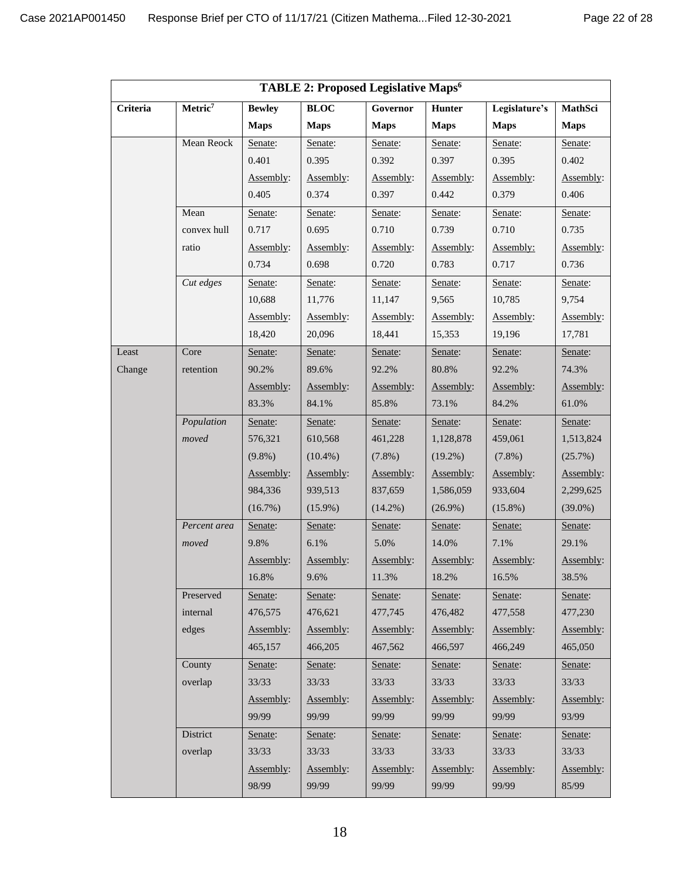| TABLE 2: Proposed Legislative Maps <sup>6</sup>                                                                   |              |             |             |             |             |             |             |  |
|-------------------------------------------------------------------------------------------------------------------|--------------|-------------|-------------|-------------|-------------|-------------|-------------|--|
| Metric <sup>7</sup><br><b>Bewley</b><br><b>BLOC</b><br>Legislature's<br>MathSci<br>Criteria<br>Governor<br>Hunter |              |             |             |             |             |             |             |  |
|                                                                                                                   |              | <b>Maps</b> | <b>Maps</b> | <b>Maps</b> | <b>Maps</b> | <b>Maps</b> | <b>Maps</b> |  |
|                                                                                                                   | Mean Reock   | Senate:     | Senate:     | Senate:     | Senate:     | Senate:     | Senate:     |  |
|                                                                                                                   |              | 0.401       | 0.395       | 0.392       | 0.397       | 0.395       | 0.402       |  |
|                                                                                                                   |              | Assembly:   | Assembly:   | Assembly:   | Assembly:   | Assembly:   | Assembly:   |  |
|                                                                                                                   |              | 0.405       | 0.374       | 0.397       | 0.442       | 0.379       | 0.406       |  |
|                                                                                                                   | Mean         | Senate:     | Senate:     | Senate:     | Senate:     | Senate:     | Senate:     |  |
|                                                                                                                   | convex hull  | 0.717       | 0.695       | 0.710       | 0.739       | 0.710       | 0.735       |  |
|                                                                                                                   | ratio        | Assembly:   | Assembly:   | Assembly:   | Assembly:   | Assembly:   | Assembly:   |  |
|                                                                                                                   |              | 0.734       | 0.698       | 0.720       | 0.783       | 0.717       | 0.736       |  |
|                                                                                                                   | Cut edges    | Senate:     | Senate:     | Senate:     | Senate:     | Senate:     | Senate:     |  |
|                                                                                                                   |              | 10,688      | 11,776      | 11,147      | 9,565       | 10,785      | 9,754       |  |
|                                                                                                                   |              | Assembly:   | Assembly:   | Assembly:   | Assembly:   | Assembly:   | Assembly:   |  |
|                                                                                                                   |              | 18,420      | 20,096      | 18,441      | 15,353      | 19,196      | 17,781      |  |
| Least                                                                                                             | Core         | Senate:     | Senate:     | Senate:     | Senate:     | Senate:     | Senate:     |  |
| Change                                                                                                            | retention    | 90.2%       | 89.6%       | 92.2%       | 80.8%       | 92.2%       | 74.3%       |  |
|                                                                                                                   |              | Assembly:   | Assembly:   | Assembly:   | Assembly:   | Assembly:   | Assembly:   |  |
|                                                                                                                   |              | 83.3%       | 84.1%       | 85.8%       | 73.1%       | 84.2%       | 61.0%       |  |
|                                                                                                                   | Population   | Senate:     | Senate:     | Senate:     | Senate:     | Senate:     | Senate:     |  |
|                                                                                                                   | moved        | 576,321     | 610,568     | 461,228     | 1,128,878   | 459,061     | 1,513,824   |  |
|                                                                                                                   |              | $(9.8\%)$   | $(10.4\%)$  | $(7.8\%)$   | $(19.2\%)$  | $(7.8\%)$   | (25.7%)     |  |
|                                                                                                                   |              | Assembly:   | Assembly:   | Assembly:   | Assembly:   | Assembly:   | Assembly:   |  |
|                                                                                                                   |              | 984,336     | 939,513     | 837,659     | 1,586,059   | 933,604     | 2,299,625   |  |
|                                                                                                                   |              | (16.7%)     | $(15.9\%)$  | $(14.2\%)$  | $(26.9\%)$  | $(15.8\%)$  | $(39.0\%)$  |  |
|                                                                                                                   | Percent area | Senate:     | Senate:     | Senate:     | Senate:     | Senate:     | Senate:     |  |
|                                                                                                                   | moved        | 9.8%        | 6.1%        | 5.0%        | 14.0%       | 7.1%        | 29.1%       |  |
|                                                                                                                   |              | Assembly:   | Assembly:   | Assembly:   | Assembly:   | Assembly:   | Assembly:   |  |
|                                                                                                                   |              | 16.8%       | 9.6%        | 11.3%       | 18.2%       | 16.5%       | 38.5%       |  |
|                                                                                                                   | Preserved    | Senate:     | Senate:     | Senate:     | Senate:     | Senate:     | Senate:     |  |
|                                                                                                                   | internal     | 476,575     | 476,621     | 477,745     | 476,482     | 477,558     | 477,230     |  |
|                                                                                                                   | edges        | Assembly:   | Assembly:   | Assembly:   | Assembly:   | Assembly:   | Assembly:   |  |
|                                                                                                                   |              | 465,157     | 466,205     | 467,562     | 466,597     | 466,249     | 465,050     |  |
|                                                                                                                   | County       | Senate:     | Senate:     | Senate:     | Senate:     | Senate:     | Senate:     |  |
|                                                                                                                   | overlap      | 33/33       | 33/33       | 33/33       | 33/33       | 33/33       | 33/33       |  |
|                                                                                                                   |              | Assembly:   | Assembly:   | Assembly:   | Assembly:   | Assembly:   | Assembly:   |  |
|                                                                                                                   |              | 99/99       | 99/99       | 99/99       | 99/99       | 99/99       | 93/99       |  |
|                                                                                                                   | District     | Senate:     | Senate:     | Senate:     | Senate:     | Senate:     | Senate:     |  |
|                                                                                                                   | overlap      | 33/33       | 33/33       | 33/33       | 33/33       | 33/33       | 33/33       |  |
|                                                                                                                   |              | Assembly:   | Assembly:   | Assembly:   | Assembly:   | Assembly:   | Assembly:   |  |
|                                                                                                                   |              | 98/99       | 99/99       | 99/99       | 99/99       | 99/99       | 85/99       |  |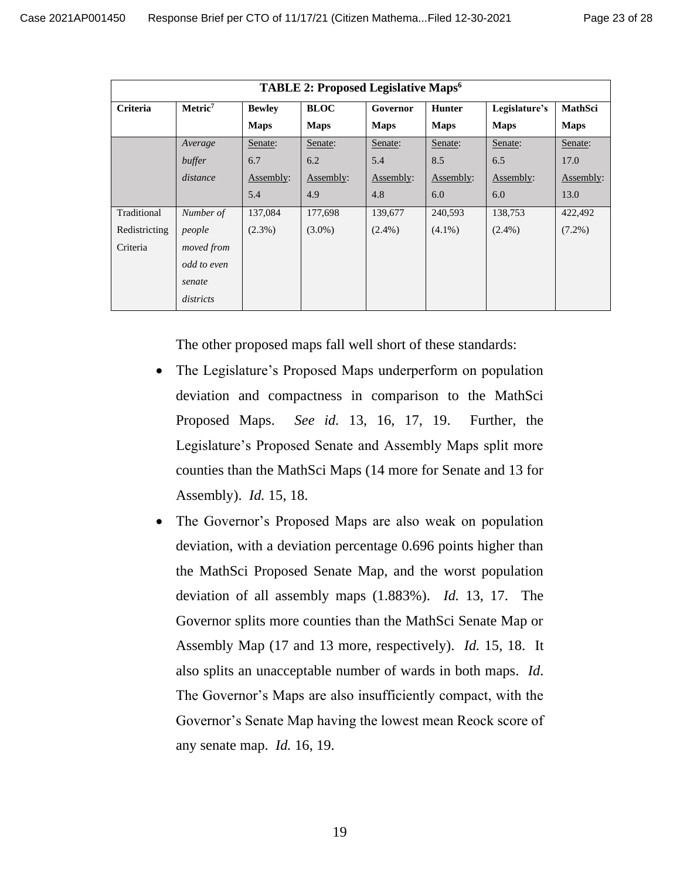| TABLE 2: Proposed Legislative Maps <sup>6</sup> |                                                                                                   |             |             |             |             |             |                |  |
|-------------------------------------------------|---------------------------------------------------------------------------------------------------|-------------|-------------|-------------|-------------|-------------|----------------|--|
| Criteria                                        | <b>BLOC</b><br>Metric <sup>7</sup><br><b>Bewley</b><br><b>Hunter</b><br>Legislature's<br>Governor |             |             |             |             |             | <b>MathSci</b> |  |
|                                                 |                                                                                                   | <b>Maps</b> | <b>Maps</b> | <b>Maps</b> | <b>Maps</b> | <b>Maps</b> | <b>Maps</b>    |  |
|                                                 | Average                                                                                           | Senate:     | Senate:     | Senate:     | Senate:     | Senate:     | Senate:        |  |
|                                                 | buffer                                                                                            | 6.7         | 6.2         | 5.4         | 8.5         | 6.5         | 17.0           |  |
|                                                 | distance                                                                                          | Assembly:   | Assembly:   | Assembly:   | Assembly:   | Assembly:   | Assembly:      |  |
|                                                 |                                                                                                   | 5.4         | 4.9         | 4.8         | 6.0         | 6.0         | 13.0           |  |
| Traditional                                     | Number of                                                                                         | 137,084     | 177,698     | 139,677     | 240,593     | 138,753     | 422,492        |  |
| Redistricting                                   | people                                                                                            | $(2.3\%)$   | $(3.0\%)$   | $(2.4\%)$   | $(4.1\%)$   | $(2.4\%)$   | $(7.2\%)$      |  |
| Criteria                                        | moved from                                                                                        |             |             |             |             |             |                |  |
|                                                 | odd to even                                                                                       |             |             |             |             |             |                |  |
|                                                 | senate                                                                                            |             |             |             |             |             |                |  |
|                                                 | districts                                                                                         |             |             |             |             |             |                |  |

The other proposed maps fall well short of these standards:

- The Legislature's Proposed Maps underperform on population deviation and compactness in comparison to the MathSci Proposed Maps. *See id.* 13, 16, 17, 19. Further, the Legislature's Proposed Senate and Assembly Maps split more counties than the MathSci Maps (14 more for Senate and 13 for Assembly). *Id.* 15, 18.
- The Governor's Proposed Maps are also weak on population deviation, with a deviation percentage 0.696 points higher than the MathSci Proposed Senate Map, and the worst population deviation of all assembly maps (1.883%). *Id.* 13, 17. The Governor splits more counties than the MathSci Senate Map or Assembly Map (17 and 13 more, respectively). *Id.* 15, 18. It also splits an unacceptable number of wards in both maps. *Id*. The Governor's Maps are also insufficiently compact, with the Governor's Senate Map having the lowest mean Reock score of any senate map. *Id.* 16, 19.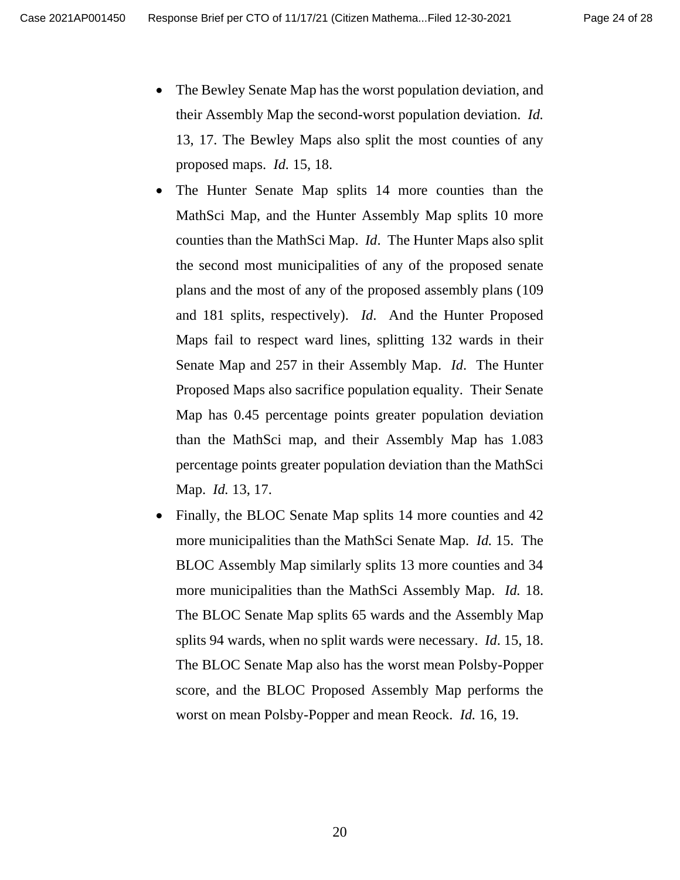- The Bewley Senate Map has the worst population deviation, and their Assembly Map the second-worst population deviation. *Id.* 13, 17. The Bewley Maps also split the most counties of any proposed maps. *Id.* 15, 18.
- The Hunter Senate Map splits 14 more counties than the MathSci Map, and the Hunter Assembly Map splits 10 more counties than the MathSci Map. *Id*. The Hunter Maps also split the second most municipalities of any of the proposed senate plans and the most of any of the proposed assembly plans (109 and 181 splits, respectively). *Id*. And the Hunter Proposed Maps fail to respect ward lines, splitting 132 wards in their Senate Map and 257 in their Assembly Map. *Id*. The Hunter Proposed Maps also sacrifice population equality. Their Senate Map has 0.45 percentage points greater population deviation than the MathSci map, and their Assembly Map has 1.083 percentage points greater population deviation than the MathSci Map. *Id.* 13, 17.
- Finally, the BLOC Senate Map splits 14 more counties and 42 more municipalities than the MathSci Senate Map. *Id.* 15. The BLOC Assembly Map similarly splits 13 more counties and 34 more municipalities than the MathSci Assembly Map. *Id.* 18. The BLOC Senate Map splits 65 wards and the Assembly Map splits 94 wards, when no split wards were necessary. *Id*. 15, 18. The BLOC Senate Map also has the worst mean Polsby-Popper score, and the BLOC Proposed Assembly Map performs the worst on mean Polsby-Popper and mean Reock. *Id.* 16, 19.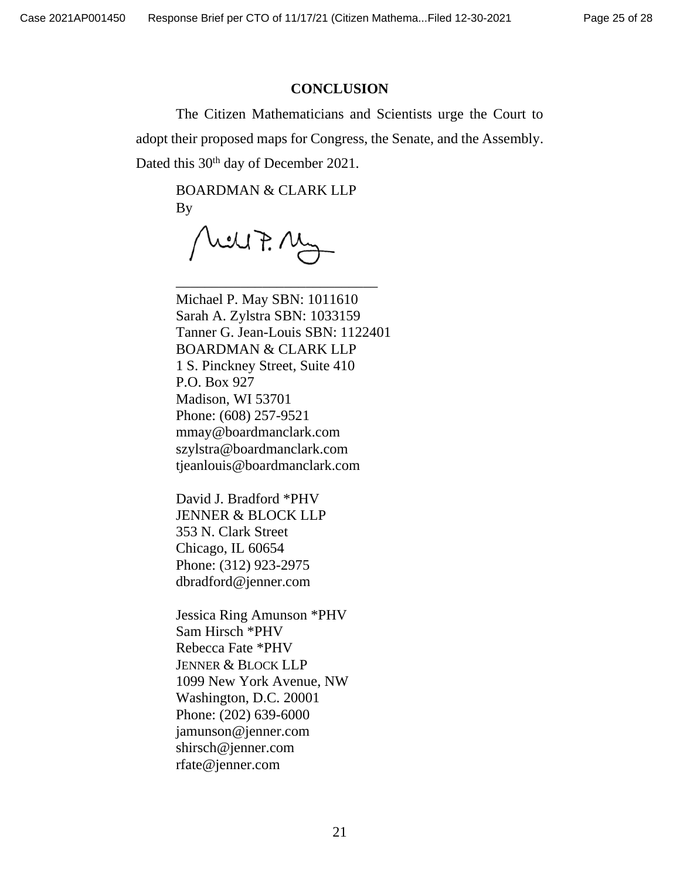#### **CONCLUSION**

The Citizen Mathematicians and Scientists urge the Court to adopt their proposed maps for Congress, the Senate, and the Assembly. Dated this 30<sup>th</sup> day of December 2021.

BOARDMAN & CLARK LLP By

hell F. My

\_\_\_\_\_\_\_\_\_\_\_\_\_\_\_\_\_\_\_\_\_\_\_\_\_\_\_\_

Michael P. May SBN: 1011610 Sarah A. Zylstra SBN: 1033159 Tanner G. Jean-Louis SBN: 1122401 BOARDMAN & CLARK LLP 1 S. Pinckney Street, Suite 410 P.O. Box 927 Madison, WI 53701 Phone: (608) 257-9521 mmay@boardmanclark.com szylstra@boardmanclark.com tjeanlouis@boardmanclark.com

David J. Bradford \*PHV JENNER & BLOCK LLP 353 N. Clark Street Chicago, IL 60654 Phone: (312) 923-2975 dbradford@jenner.com

Jessica Ring Amunson \*PHV Sam Hirsch \*PHV Rebecca Fate \*PHV JENNER & BLOCK LLP 1099 New York Avenue, NW Washington, D.C. 20001 Phone: (202) 639-6000 jamunson@jenner.com shirsch@jenner.com rfate@jenner.com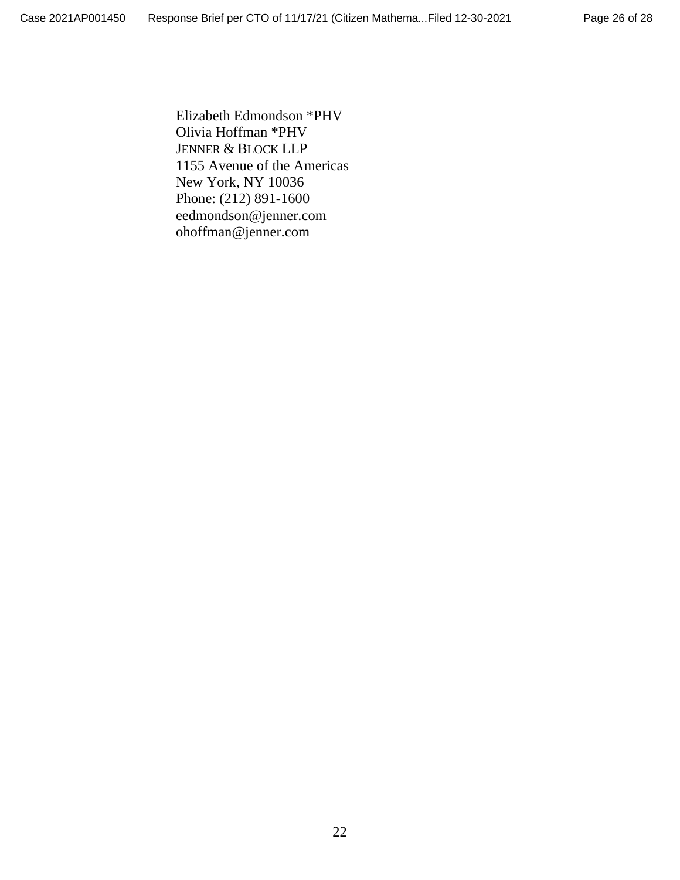Elizabeth Edmondson \*PHV Olivia Hoffman \*PHV JENNER & BLOCK LLP 1155 Avenue of the Americas New York, NY 10036 Phone: (212) 891-1600 eedmondson@jenner.com ohoffman@jenner.com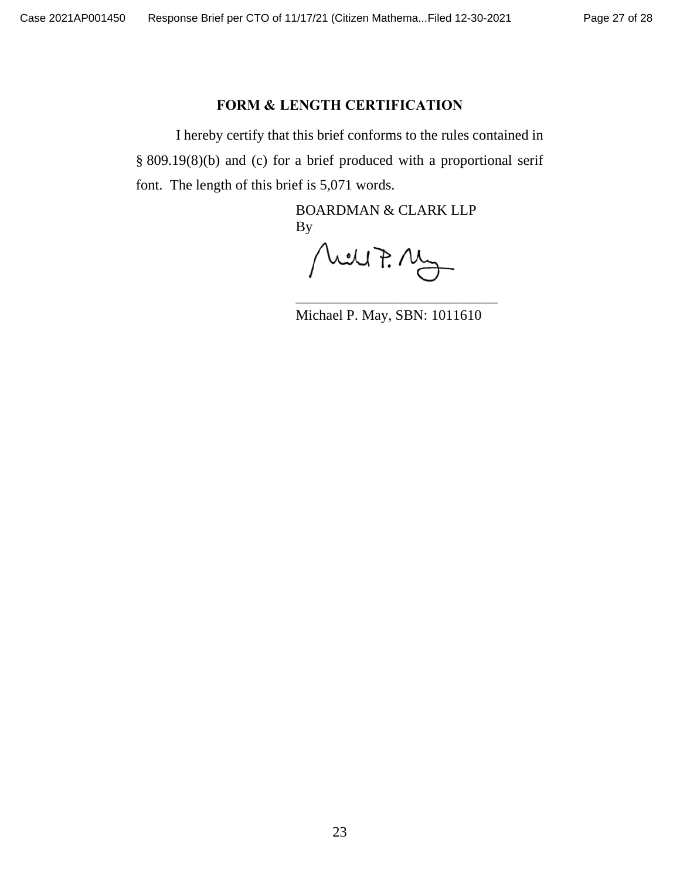# **FORM & LENGTH CERTIFICATION**

I hereby certify that this brief conforms to the rules contained in § 809.19(8)(b) and (c) for a brief produced with a proportional serif font. The length of this brief is 5,071 words.

> BOARDMAN & CLARK LLP By

Melt P. My

\_\_\_\_\_\_\_\_\_\_\_\_\_\_\_\_\_\_\_\_\_\_\_\_\_\_\_\_ Michael P. May, SBN: 1011610